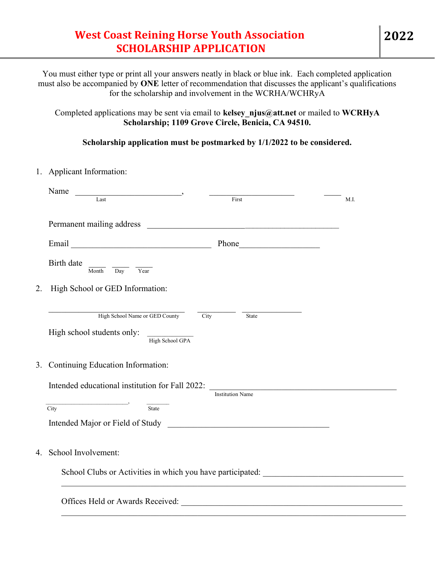## West Coast Reining Horse Youth Association SCHOLARSHIP APPLICATION

You must either type or print all your answers neatly in black or blue ink. Each completed application must also be accompanied by ONE letter of recommendation that discusses the applicant's qualifications for the scholarship and involvement in the WCRHA/WCHRyA

Completed applications may be sent via email to kelsey njus@att.net or mailed to WCRHyA Scholarship; 1109 Grove Circle, Benicia, CA 94510.

Scholarship application must be postmarked by 1/1/2022 to be considered.

1. Applicant Information:

|                                                                                                                                                                                                            | Name<br>$\frac{1}{2}$ Last $\frac{1}{2}$      |                         |      |
|------------------------------------------------------------------------------------------------------------------------------------------------------------------------------------------------------------|-----------------------------------------------|-------------------------|------|
|                                                                                                                                                                                                            |                                               | First                   | M.I. |
|                                                                                                                                                                                                            |                                               |                         |      |
|                                                                                                                                                                                                            |                                               | Phone                   |      |
|                                                                                                                                                                                                            | Birth date<br>Day Year<br>Month               |                         |      |
| 2.                                                                                                                                                                                                         | High School or GED Information:               |                         |      |
|                                                                                                                                                                                                            |                                               |                         |      |
|                                                                                                                                                                                                            | High School Name or GED County<br>City        | State                   |      |
|                                                                                                                                                                                                            | High school students only:<br>High School GPA |                         |      |
|                                                                                                                                                                                                            | 3. Continuing Education Information:          |                         |      |
|                                                                                                                                                                                                            |                                               |                         |      |
|                                                                                                                                                                                                            | $\overline{\phantom{a}}$                      | <b>Institution Name</b> |      |
|                                                                                                                                                                                                            | City<br><b>State</b>                          |                         |      |
|                                                                                                                                                                                                            |                                               |                         |      |
|                                                                                                                                                                                                            | 4. School Involvement:                        |                         |      |
| School Clubs or Activities in which you have participated: ______________________<br><u> 1989 - Johann Stoff, deutscher Stoff, der Stoff, der Stoff, der Stoff, der Stoff, der Stoff, der Stoff, der S</u> |                                               |                         |      |
|                                                                                                                                                                                                            |                                               |                         |      |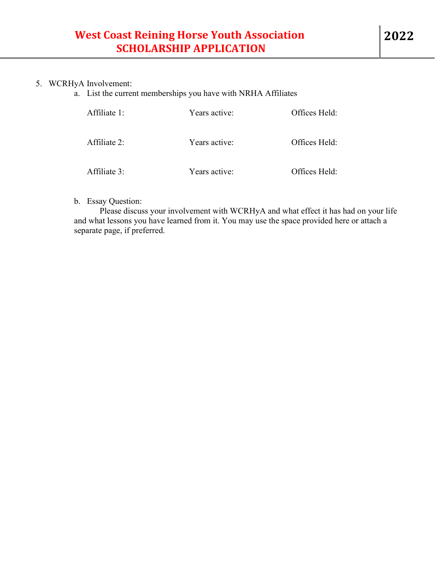## 5. WCRHyA Involvement:

a. List the current memberships you have with NRHA Affiliates

| Affiliate 1: | Years active: | Offices Held: |
|--------------|---------------|---------------|
| Affiliate 2: | Years active: | Offices Held: |
| Affiliate 3: | Years active: | Offices Held: |

b. Essay Question:

Please discuss your involvement with WCRHyA and what effect it has had on your life and what lessons you have learned from it. You may use the space provided here or attach a separate page, if preferred.